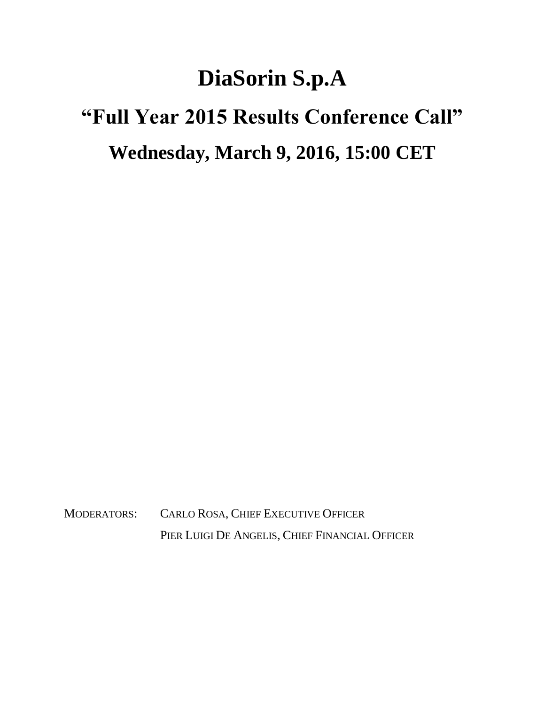## **DiaSorin S.p.A**

## **"Full Year 2015 Results Conference Call" Wednesday, March 9, 2016, 15:00 CET**

MODERATORS: CARLO ROSA, CHIEF EXECUTIVE OFFICER PIER LUIGI DE ANGELIS, CHIEF FINANCIAL OFFICER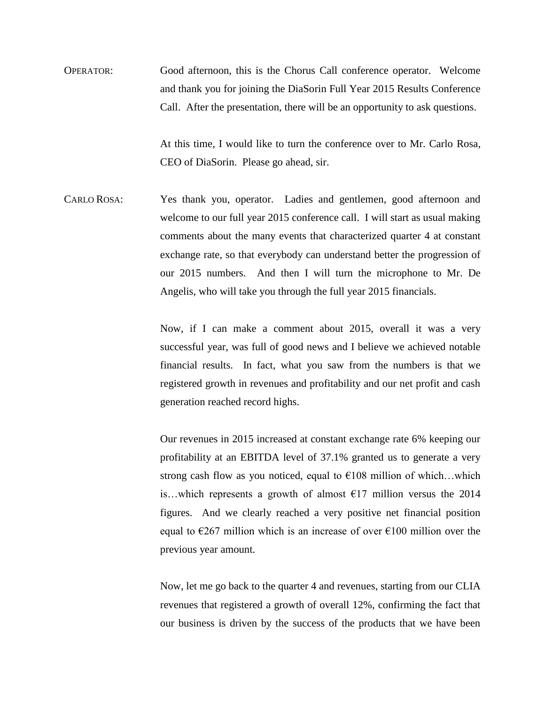OPERATOR: Good afternoon, this is the Chorus Call conference operator. Welcome and thank you for joining the DiaSorin Full Year 2015 Results Conference Call. After the presentation, there will be an opportunity to ask questions.

> At this time, I would like to turn the conference over to Mr. Carlo Rosa, CEO of DiaSorin. Please go ahead, sir.

CARLO ROSA: Yes thank you, operator. Ladies and gentlemen, good afternoon and welcome to our full year 2015 conference call. I will start as usual making comments about the many events that characterized quarter 4 at constant exchange rate, so that everybody can understand better the progression of our 2015 numbers. And then I will turn the microphone to Mr. De Angelis, who will take you through the full year 2015 financials.

> Now, if I can make a comment about 2015, overall it was a very successful year, was full of good news and I believe we achieved notable financial results. In fact, what you saw from the numbers is that we registered growth in revenues and profitability and our net profit and cash generation reached record highs.

> Our revenues in 2015 increased at constant exchange rate 6% keeping our profitability at an EBITDA level of 37.1% granted us to generate a very strong cash flow as you noticed, equal to  $E108$  million of which...which is...which represents a growth of almost  $E17$  million versus the 2014 figures. And we clearly reached a very positive net financial position equal to  $\epsilon$ 267 million which is an increase of over  $\epsilon$ 100 million over the previous year amount.

> Now, let me go back to the quarter 4 and revenues, starting from our CLIA revenues that registered a growth of overall 12%, confirming the fact that our business is driven by the success of the products that we have been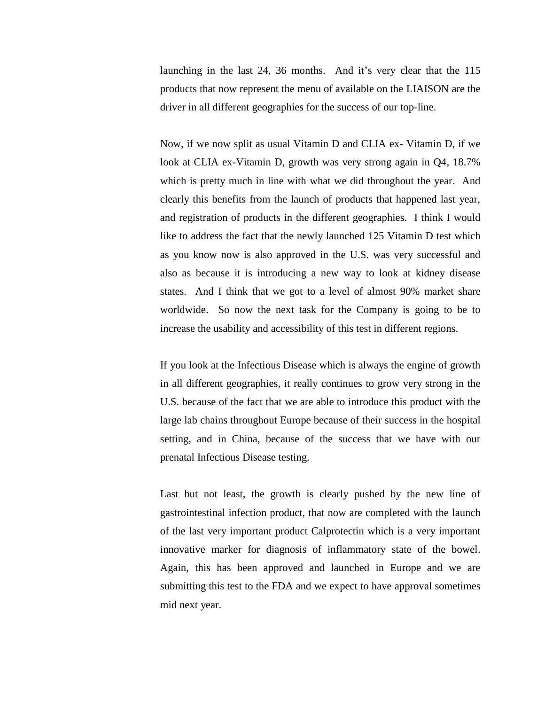launching in the last 24, 36 months. And it's very clear that the 115 products that now represent the menu of available on the LIAISON are the driver in all different geographies for the success of our top-line.

Now, if we now split as usual Vitamin D and CLIA ex- Vitamin D, if we look at CLIA ex-Vitamin D, growth was very strong again in Q4, 18.7% which is pretty much in line with what we did throughout the year. And clearly this benefits from the launch of products that happened last year, and registration of products in the different geographies. I think I would like to address the fact that the newly launched 125 Vitamin D test which as you know now is also approved in the U.S. was very successful and also as because it is introducing a new way to look at kidney disease states. And I think that we got to a level of almost 90% market share worldwide. So now the next task for the Company is going to be to increase the usability and accessibility of this test in different regions.

If you look at the Infectious Disease which is always the engine of growth in all different geographies, it really continues to grow very strong in the U.S. because of the fact that we are able to introduce this product with the large lab chains throughout Europe because of their success in the hospital setting, and in China, because of the success that we have with our prenatal Infectious Disease testing.

Last but not least, the growth is clearly pushed by the new line of gastrointestinal infection product, that now are completed with the launch of the last very important product Calprotectin which is a very important innovative marker for diagnosis of inflammatory state of the bowel. Again, this has been approved and launched in Europe and we are submitting this test to the FDA and we expect to have approval sometimes mid next year.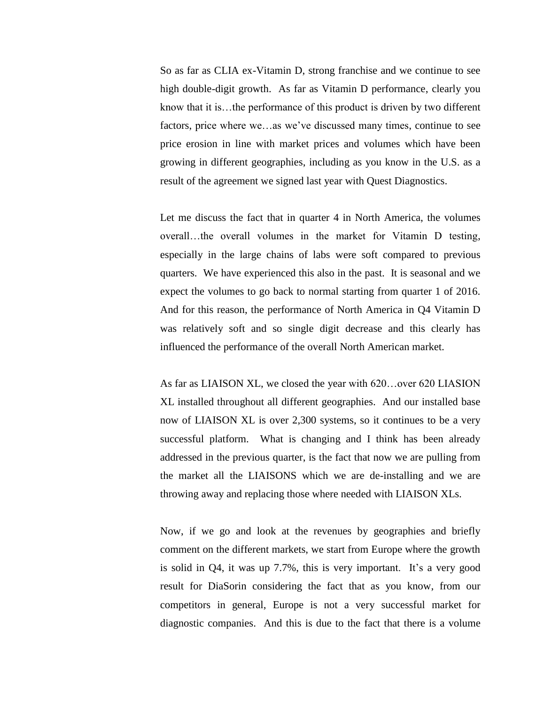So as far as CLIA ex-Vitamin D, strong franchise and we continue to see high double-digit growth. As far as Vitamin D performance, clearly you know that it is…the performance of this product is driven by two different factors, price where we…as we've discussed many times, continue to see price erosion in line with market prices and volumes which have been growing in different geographies, including as you know in the U.S. as a result of the agreement we signed last year with Quest Diagnostics.

Let me discuss the fact that in quarter 4 in North America, the volumes overall…the overall volumes in the market for Vitamin D testing, especially in the large chains of labs were soft compared to previous quarters. We have experienced this also in the past. It is seasonal and we expect the volumes to go back to normal starting from quarter 1 of 2016. And for this reason, the performance of North America in Q4 Vitamin D was relatively soft and so single digit decrease and this clearly has influenced the performance of the overall North American market.

As far as LIAISON XL, we closed the year with 620…over 620 LIASION XL installed throughout all different geographies. And our installed base now of LIAISON XL is over 2,300 systems, so it continues to be a very successful platform. What is changing and I think has been already addressed in the previous quarter, is the fact that now we are pulling from the market all the LIAISONS which we are de-installing and we are throwing away and replacing those where needed with LIAISON XLs.

Now, if we go and look at the revenues by geographies and briefly comment on the different markets, we start from Europe where the growth is solid in Q4, it was up 7.7%, this is very important. It's a very good result for DiaSorin considering the fact that as you know, from our competitors in general, Europe is not a very successful market for diagnostic companies. And this is due to the fact that there is a volume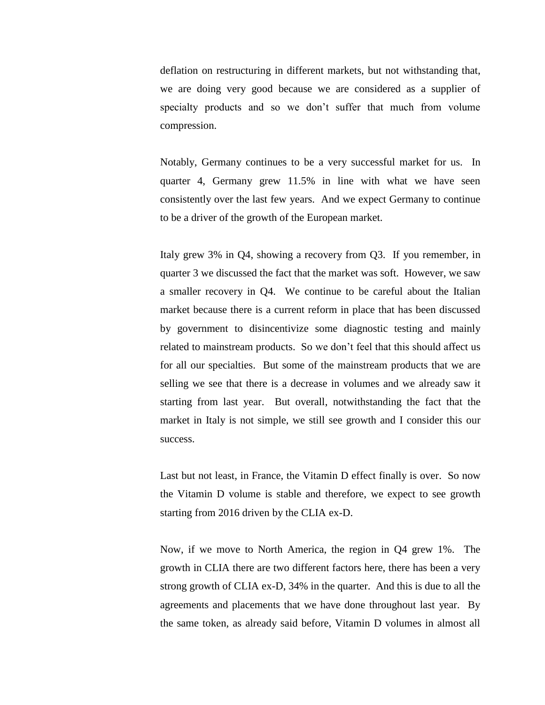deflation on restructuring in different markets, but not withstanding that, we are doing very good because we are considered as a supplier of specialty products and so we don't suffer that much from volume compression.

Notably, Germany continues to be a very successful market for us. In quarter 4, Germany grew 11.5% in line with what we have seen consistently over the last few years. And we expect Germany to continue to be a driver of the growth of the European market.

Italy grew 3% in Q4, showing a recovery from Q3. If you remember, in quarter 3 we discussed the fact that the market was soft. However, we saw a smaller recovery in Q4. We continue to be careful about the Italian market because there is a current reform in place that has been discussed by government to disincentivize some diagnostic testing and mainly related to mainstream products. So we don't feel that this should affect us for all our specialties. But some of the mainstream products that we are selling we see that there is a decrease in volumes and we already saw it starting from last year. But overall, notwithstanding the fact that the market in Italy is not simple, we still see growth and I consider this our success.

Last but not least, in France, the Vitamin D effect finally is over. So now the Vitamin D volume is stable and therefore, we expect to see growth starting from 2016 driven by the CLIA ex-D.

Now, if we move to North America, the region in Q4 grew 1%. The growth in CLIA there are two different factors here, there has been a very strong growth of CLIA ex-D, 34% in the quarter. And this is due to all the agreements and placements that we have done throughout last year. By the same token, as already said before, Vitamin D volumes in almost all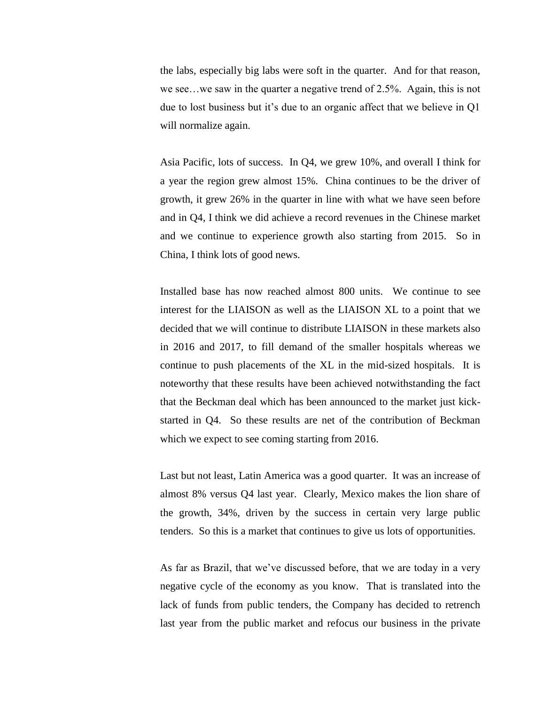the labs, especially big labs were soft in the quarter. And for that reason, we see…we saw in the quarter a negative trend of 2.5%. Again, this is not due to lost business but it's due to an organic affect that we believe in Q1 will normalize again.

Asia Pacific, lots of success. In Q4, we grew 10%, and overall I think for a year the region grew almost 15%. China continues to be the driver of growth, it grew 26% in the quarter in line with what we have seen before and in Q4, I think we did achieve a record revenues in the Chinese market and we continue to experience growth also starting from 2015. So in China, I think lots of good news.

Installed base has now reached almost 800 units. We continue to see interest for the LIAISON as well as the LIAISON XL to a point that we decided that we will continue to distribute LIAISON in these markets also in 2016 and 2017, to fill demand of the smaller hospitals whereas we continue to push placements of the XL in the mid-sized hospitals. It is noteworthy that these results have been achieved notwithstanding the fact that the Beckman deal which has been announced to the market just kickstarted in Q4. So these results are net of the contribution of Beckman which we expect to see coming starting from 2016.

Last but not least, Latin America was a good quarter. It was an increase of almost 8% versus Q4 last year. Clearly, Mexico makes the lion share of the growth, 34%, driven by the success in certain very large public tenders. So this is a market that continues to give us lots of opportunities.

As far as Brazil, that we've discussed before, that we are today in a very negative cycle of the economy as you know. That is translated into the lack of funds from public tenders, the Company has decided to retrench last year from the public market and refocus our business in the private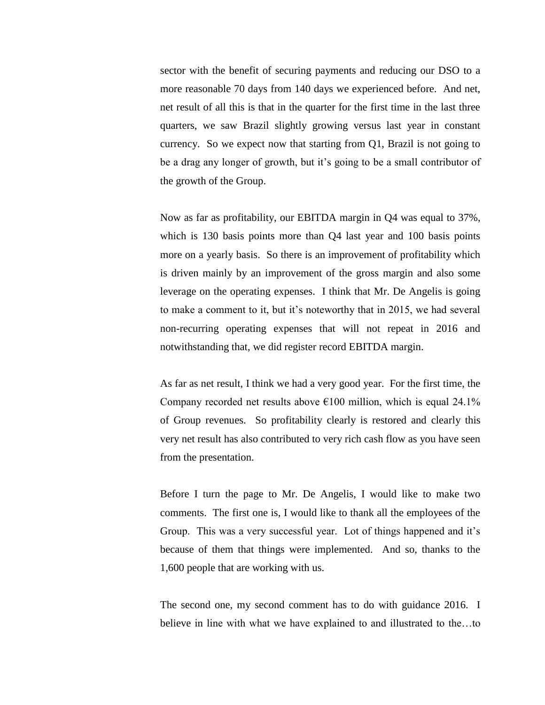sector with the benefit of securing payments and reducing our DSO to a more reasonable 70 days from 140 days we experienced before. And net, net result of all this is that in the quarter for the first time in the last three quarters, we saw Brazil slightly growing versus last year in constant currency. So we expect now that starting from Q1, Brazil is not going to be a drag any longer of growth, but it's going to be a small contributor of the growth of the Group.

Now as far as profitability, our EBITDA margin in Q4 was equal to 37%, which is 130 basis points more than Q4 last year and 100 basis points more on a yearly basis. So there is an improvement of profitability which is driven mainly by an improvement of the gross margin and also some leverage on the operating expenses. I think that Mr. De Angelis is going to make a comment to it, but it's noteworthy that in 2015, we had several non-recurring operating expenses that will not repeat in 2016 and notwithstanding that, we did register record EBITDA margin.

As far as net result, I think we had a very good year. For the first time, the Company recorded net results above  $\epsilon$ 100 million, which is equal 24.1% of Group revenues. So profitability clearly is restored and clearly this very net result has also contributed to very rich cash flow as you have seen from the presentation.

Before I turn the page to Mr. De Angelis, I would like to make two comments. The first one is, I would like to thank all the employees of the Group. This was a very successful year. Lot of things happened and it's because of them that things were implemented. And so, thanks to the 1,600 people that are working with us.

The second one, my second comment has to do with guidance 2016. I believe in line with what we have explained to and illustrated to the…to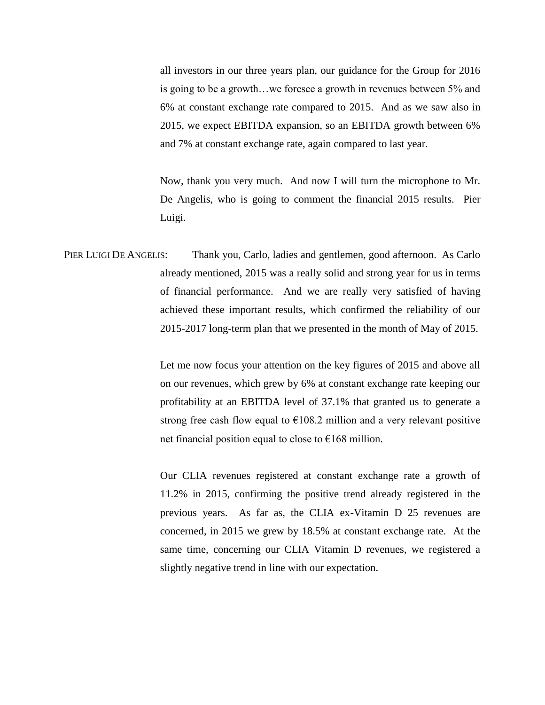all investors in our three years plan, our guidance for the Group for 2016 is going to be a growth…we foresee a growth in revenues between 5% and 6% at constant exchange rate compared to 2015. And as we saw also in 2015, we expect EBITDA expansion, so an EBITDA growth between 6% and 7% at constant exchange rate, again compared to last year.

Now, thank you very much. And now I will turn the microphone to Mr. De Angelis, who is going to comment the financial 2015 results. Pier Luigi.

PIER LUIGI DE ANGELIS: Thank you, Carlo, ladies and gentlemen, good afternoon. As Carlo already mentioned, 2015 was a really solid and strong year for us in terms of financial performance. And we are really very satisfied of having achieved these important results, which confirmed the reliability of our 2015-2017 long-term plan that we presented in the month of May of 2015.

> Let me now focus your attention on the key figures of 2015 and above all on our revenues, which grew by 6% at constant exchange rate keeping our profitability at an EBITDA level of 37.1% that granted us to generate a strong free cash flow equal to  $E108.2$  million and a very relevant positive net financial position equal to close to  $\epsilon$ 168 million.

> Our CLIA revenues registered at constant exchange rate a growth of 11.2% in 2015, confirming the positive trend already registered in the previous years. As far as, the CLIA ex-Vitamin D 25 revenues are concerned, in 2015 we grew by 18.5% at constant exchange rate. At the same time, concerning our CLIA Vitamin D revenues, we registered a slightly negative trend in line with our expectation.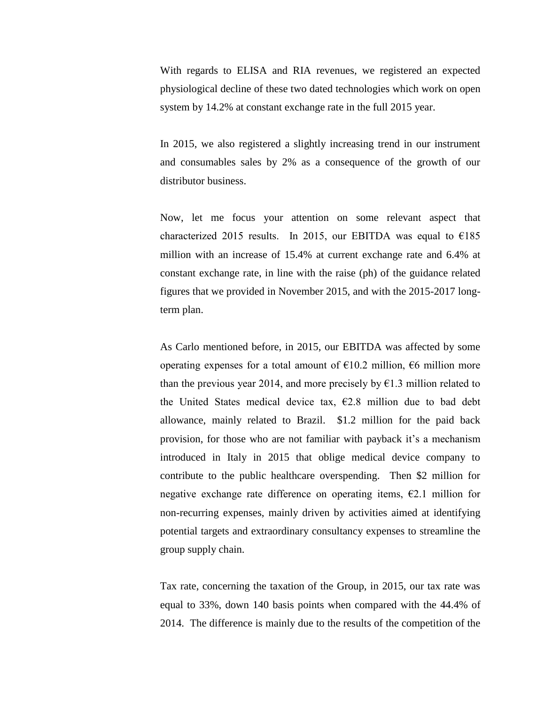With regards to ELISA and RIA revenues, we registered an expected physiological decline of these two dated technologies which work on open system by 14.2% at constant exchange rate in the full 2015 year.

In 2015, we also registered a slightly increasing trend in our instrument and consumables sales by 2% as a consequence of the growth of our distributor business.

Now, let me focus your attention on some relevant aspect that characterized 2015 results. In 2015, our EBITDA was equal to  $\epsilon$ 185 million with an increase of 15.4% at current exchange rate and 6.4% at constant exchange rate, in line with the raise (ph) of the guidance related figures that we provided in November 2015, and with the 2015-2017 longterm plan.

As Carlo mentioned before, in 2015, our EBITDA was affected by some operating expenses for a total amount of  $\epsilon$ 10.2 million,  $\epsilon$ 6 million more than the previous year 2014, and more precisely by  $\epsilon$ 1.3 million related to the United States medical device tax,  $\epsilon$ 2.8 million due to bad debt allowance, mainly related to Brazil. \$1.2 million for the paid back provision, for those who are not familiar with payback it's a mechanism introduced in Italy in 2015 that oblige medical device company to contribute to the public healthcare overspending. Then \$2 million for negative exchange rate difference on operating items,  $E$ 2.1 million for non-recurring expenses, mainly driven by activities aimed at identifying potential targets and extraordinary consultancy expenses to streamline the group supply chain.

Tax rate, concerning the taxation of the Group, in 2015, our tax rate was equal to 33%, down 140 basis points when compared with the 44.4% of 2014. The difference is mainly due to the results of the competition of the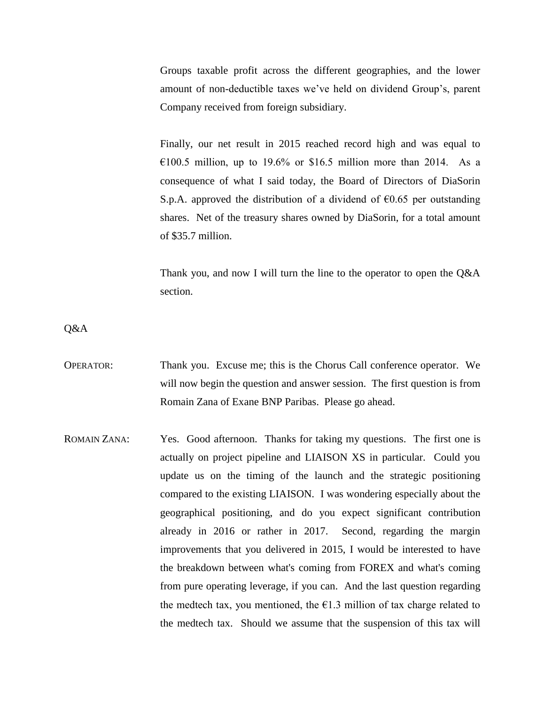Groups taxable profit across the different geographies, and the lower amount of non-deductible taxes we've held on dividend Group's, parent Company received from foreign subsidiary.

Finally, our net result in 2015 reached record high and was equal to  $\epsilon$ 100.5 million, up to 19.6% or \$16.5 million more than 2014. As a consequence of what I said today, the Board of Directors of DiaSorin S.p.A. approved the distribution of a dividend of  $\epsilon$ 0.65 per outstanding shares. Net of the treasury shares owned by DiaSorin, for a total amount of \$35.7 million.

Thank you, and now I will turn the line to the operator to open the Q&A section.

Q&A

- OPERATOR: Thank you. Excuse me; this is the Chorus Call conference operator. We will now begin the question and answer session. The first question is from Romain Zana of Exane BNP Paribas. Please go ahead.
- ROMAIN ZANA: Yes. Good afternoon. Thanks for taking my questions. The first one is actually on project pipeline and LIAISON XS in particular. Could you update us on the timing of the launch and the strategic positioning compared to the existing LIAISON. I was wondering especially about the geographical positioning, and do you expect significant contribution already in 2016 or rather in 2017. Second, regarding the margin improvements that you delivered in 2015, I would be interested to have the breakdown between what's coming from FOREX and what's coming from pure operating leverage, if you can. And the last question regarding the medtech tax, you mentioned, the  $E1.3$  million of tax charge related to the medtech tax. Should we assume that the suspension of this tax will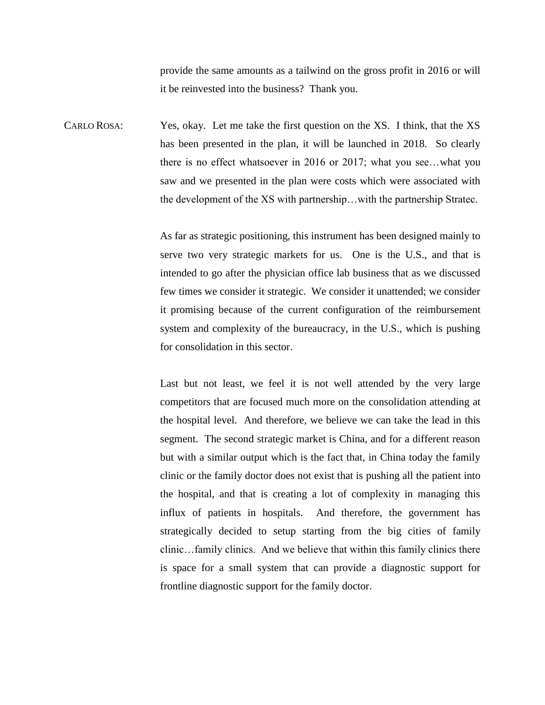provide the same amounts as a tailwind on the gross profit in 2016 or will it be reinvested into the business? Thank you.

CARLO ROSA: Yes, okay. Let me take the first question on the XS. I think, that the XS has been presented in the plan, it will be launched in 2018. So clearly there is no effect whatsoever in 2016 or 2017; what you see…what you saw and we presented in the plan were costs which were associated with the development of the XS with partnership…with the partnership Stratec.

> As far as strategic positioning, this instrument has been designed mainly to serve two very strategic markets for us. One is the U.S., and that is intended to go after the physician office lab business that as we discussed few times we consider it strategic. We consider it unattended; we consider it promising because of the current configuration of the reimbursement system and complexity of the bureaucracy, in the U.S., which is pushing for consolidation in this sector.

> Last but not least, we feel it is not well attended by the very large competitors that are focused much more on the consolidation attending at the hospital level. And therefore, we believe we can take the lead in this segment. The second strategic market is China, and for a different reason but with a similar output which is the fact that, in China today the family clinic or the family doctor does not exist that is pushing all the patient into the hospital, and that is creating a lot of complexity in managing this influx of patients in hospitals. And therefore, the government has strategically decided to setup starting from the big cities of family clinic…family clinics. And we believe that within this family clinics there is space for a small system that can provide a diagnostic support for frontline diagnostic support for the family doctor.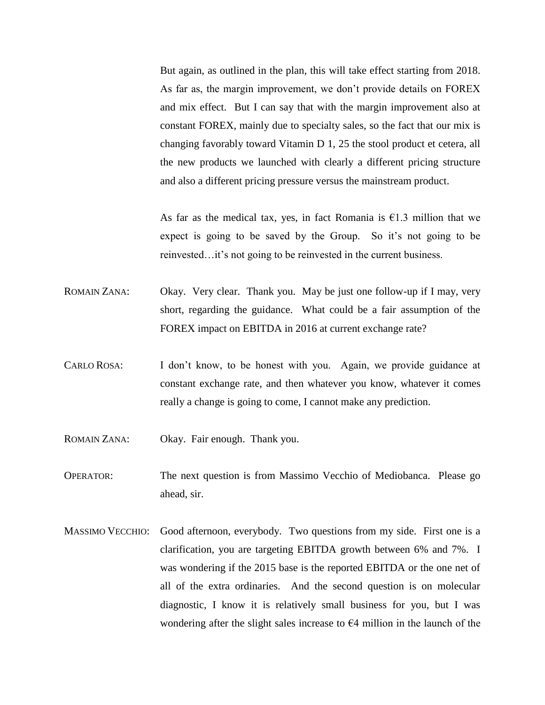But again, as outlined in the plan, this will take effect starting from 2018. As far as, the margin improvement, we don't provide details on FOREX and mix effect. But I can say that with the margin improvement also at constant FOREX, mainly due to specialty sales, so the fact that our mix is changing favorably toward Vitamin D 1, 25 the stool product et cetera, all the new products we launched with clearly a different pricing structure and also a different pricing pressure versus the mainstream product.

As far as the medical tax, yes, in fact Romania is  $\epsilon$ 1.3 million that we expect is going to be saved by the Group. So it's not going to be reinvested…it's not going to be reinvested in the current business.

- ROMAIN ZANA: Okay. Very clear. Thank you. May be just one follow-up if I may, very short, regarding the guidance. What could be a fair assumption of the FOREX impact on EBITDA in 2016 at current exchange rate?
- CARLO ROSA: I don't know, to be honest with you. Again, we provide guidance at constant exchange rate, and then whatever you know, whatever it comes really a change is going to come, I cannot make any prediction.
- ROMAIN ZANA: Okay. Fair enough. Thank you.
- OPERATOR: The next question is from Massimo Vecchio of Mediobanca. Please go ahead, sir.
- MASSIMO VECCHIO: Good afternoon, everybody. Two questions from my side. First one is a clarification, you are targeting EBITDA growth between 6% and 7%. I was wondering if the 2015 base is the reported EBITDA or the one net of all of the extra ordinaries. And the second question is on molecular diagnostic, I know it is relatively small business for you, but I was wondering after the slight sales increase to  $\epsilon$ 4 million in the launch of the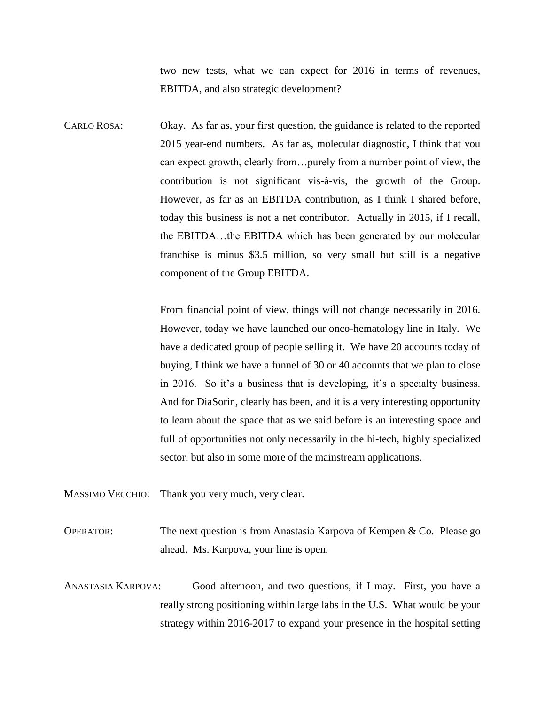two new tests, what we can expect for 2016 in terms of revenues, EBITDA, and also strategic development?

CARLO ROSA: Okay. As far as, your first question, the guidance is related to the reported 2015 year-end numbers. As far as, molecular diagnostic, I think that you can expect growth, clearly from…purely from a number point of view, the contribution is not significant vis-à-vis, the growth of the Group. However, as far as an EBITDA contribution, as I think I shared before, today this business is not a net contributor. Actually in 2015, if I recall, the EBITDA…the EBITDA which has been generated by our molecular franchise is minus \$3.5 million, so very small but still is a negative component of the Group EBITDA.

> From financial point of view, things will not change necessarily in 2016. However, today we have launched our onco-hematology line in Italy. We have a dedicated group of people selling it. We have 20 accounts today of buying, I think we have a funnel of 30 or 40 accounts that we plan to close in 2016. So it's a business that is developing, it's a specialty business. And for DiaSorin, clearly has been, and it is a very interesting opportunity to learn about the space that as we said before is an interesting space and full of opportunities not only necessarily in the hi-tech, highly specialized sector, but also in some more of the mainstream applications.

MASSIMO VECCHIO: Thank you very much, very clear.

- OPERATOR: The next question is from Anastasia Karpova of Kempen & Co. Please go ahead. Ms. Karpova, your line is open.
- ANASTASIA KARPOVA: Good afternoon, and two questions, if I may. First, you have a really strong positioning within large labs in the U.S. What would be your strategy within 2016-2017 to expand your presence in the hospital setting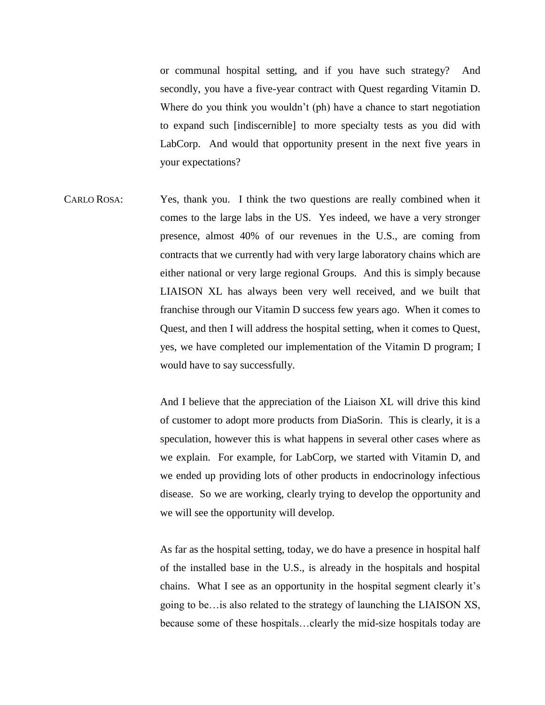or communal hospital setting, and if you have such strategy? And secondly, you have a five-year contract with Quest regarding Vitamin D. Where do you think you wouldn't (ph) have a chance to start negotiation to expand such [indiscernible] to more specialty tests as you did with LabCorp. And would that opportunity present in the next five years in your expectations?

CARLO ROSA: Yes, thank you. I think the two questions are really combined when it comes to the large labs in the US. Yes indeed, we have a very stronger presence, almost 40% of our revenues in the U.S., are coming from contracts that we currently had with very large laboratory chains which are either national or very large regional Groups. And this is simply because LIAISON XL has always been very well received, and we built that franchise through our Vitamin D success few years ago. When it comes to Quest, and then I will address the hospital setting, when it comes to Quest, yes, we have completed our implementation of the Vitamin D program; I would have to say successfully.

> And I believe that the appreciation of the Liaison XL will drive this kind of customer to adopt more products from DiaSorin. This is clearly, it is a speculation, however this is what happens in several other cases where as we explain. For example, for LabCorp, we started with Vitamin D, and we ended up providing lots of other products in endocrinology infectious disease. So we are working, clearly trying to develop the opportunity and we will see the opportunity will develop.

> As far as the hospital setting, today, we do have a presence in hospital half of the installed base in the U.S., is already in the hospitals and hospital chains. What I see as an opportunity in the hospital segment clearly it's going to be…is also related to the strategy of launching the LIAISON XS, because some of these hospitals…clearly the mid-size hospitals today are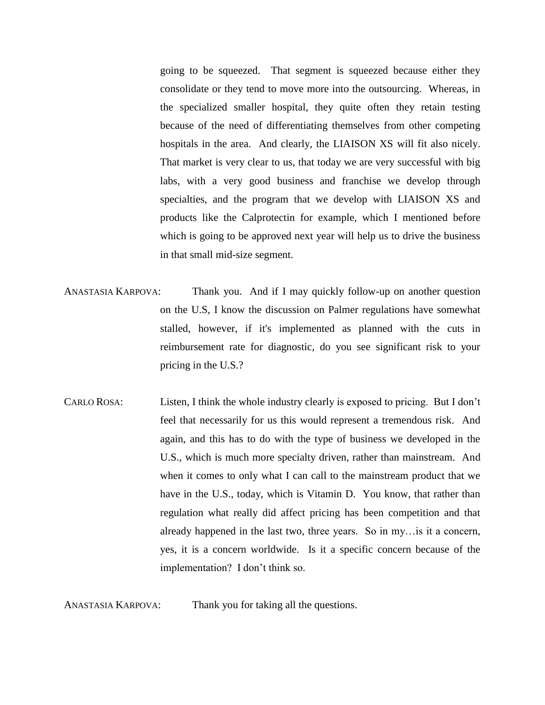going to be squeezed. That segment is squeezed because either they consolidate or they tend to move more into the outsourcing. Whereas, in the specialized smaller hospital, they quite often they retain testing because of the need of differentiating themselves from other competing hospitals in the area. And clearly, the LIAISON XS will fit also nicely. That market is very clear to us, that today we are very successful with big labs, with a very good business and franchise we develop through specialties, and the program that we develop with LIAISON XS and products like the Calprotectin for example, which I mentioned before which is going to be approved next year will help us to drive the business in that small mid-size segment.

- ANASTASIA KARPOVA: Thank you. And if I may quickly follow-up on another question on the U.S, I know the discussion on Palmer regulations have somewhat stalled, however, if it's implemented as planned with the cuts in reimbursement rate for diagnostic, do you see significant risk to your pricing in the U.S.?
- CARLO ROSA: Listen, I think the whole industry clearly is exposed to pricing. But I don't feel that necessarily for us this would represent a tremendous risk. And again, and this has to do with the type of business we developed in the U.S., which is much more specialty driven, rather than mainstream. And when it comes to only what I can call to the mainstream product that we have in the U.S., today, which is Vitamin D. You know, that rather than regulation what really did affect pricing has been competition and that already happened in the last two, three years. So in my…is it a concern, yes, it is a concern worldwide. Is it a specific concern because of the implementation? I don't think so.

ANASTASIA KARPOVA: Thank you for taking all the questions.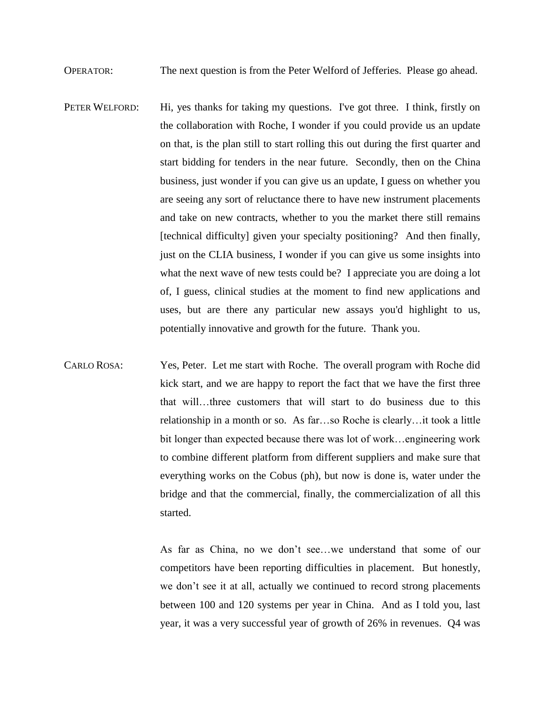OPERATOR: The next question is from the Peter Welford of Jefferies. Please go ahead.

- PETER WELFORD: Hi, yes thanks for taking my questions. I've got three. I think, firstly on the collaboration with Roche, I wonder if you could provide us an update on that, is the plan still to start rolling this out during the first quarter and start bidding for tenders in the near future. Secondly, then on the China business, just wonder if you can give us an update, I guess on whether you are seeing any sort of reluctance there to have new instrument placements and take on new contracts, whether to you the market there still remains [technical difficulty] given your specialty positioning? And then finally, just on the CLIA business, I wonder if you can give us some insights into what the next wave of new tests could be? I appreciate you are doing a lot of, I guess, clinical studies at the moment to find new applications and uses, but are there any particular new assays you'd highlight to us, potentially innovative and growth for the future. Thank you.
- CARLO ROSA: Yes, Peter. Let me start with Roche. The overall program with Roche did kick start, and we are happy to report the fact that we have the first three that will…three customers that will start to do business due to this relationship in a month or so. As far…so Roche is clearly…it took a little bit longer than expected because there was lot of work…engineering work to combine different platform from different suppliers and make sure that everything works on the Cobus (ph), but now is done is, water under the bridge and that the commercial, finally, the commercialization of all this started.

As far as China, no we don't see…we understand that some of our competitors have been reporting difficulties in placement. But honestly, we don't see it at all, actually we continued to record strong placements between 100 and 120 systems per year in China. And as I told you, last year, it was a very successful year of growth of 26% in revenues. Q4 was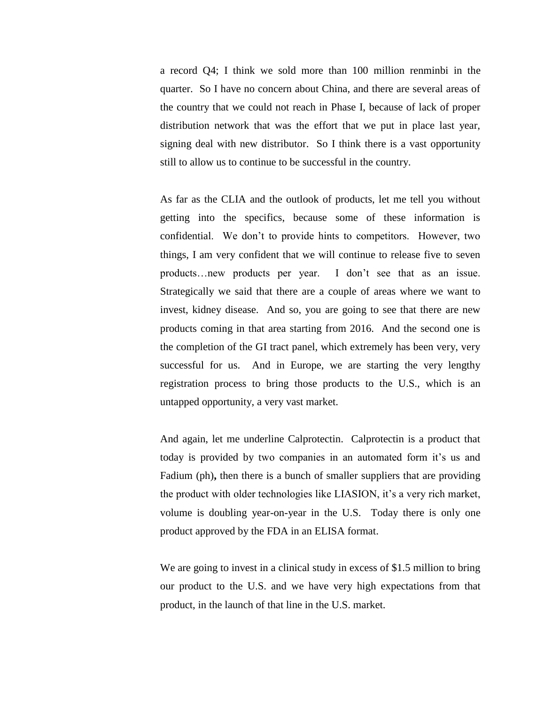a record Q4; I think we sold more than 100 million renminbi in the quarter. So I have no concern about China, and there are several areas of the country that we could not reach in Phase I, because of lack of proper distribution network that was the effort that we put in place last year, signing deal with new distributor. So I think there is a vast opportunity still to allow us to continue to be successful in the country.

As far as the CLIA and the outlook of products, let me tell you without getting into the specifics, because some of these information is confidential. We don't to provide hints to competitors. However, two things, I am very confident that we will continue to release five to seven products…new products per year. I don't see that as an issue. Strategically we said that there are a couple of areas where we want to invest, kidney disease. And so, you are going to see that there are new products coming in that area starting from 2016. And the second one is the completion of the GI tract panel, which extremely has been very, very successful for us. And in Europe, we are starting the very lengthy registration process to bring those products to the U.S., which is an untapped opportunity, a very vast market.

And again, let me underline Calprotectin. Calprotectin is a product that today is provided by two companies in an automated form it's us and Fadium (ph)**,** then there is a bunch of smaller suppliers that are providing the product with older technologies like LIASION, it's a very rich market, volume is doubling year-on-year in the U.S. Today there is only one product approved by the FDA in an ELISA format.

We are going to invest in a clinical study in excess of \$1.5 million to bring our product to the U.S. and we have very high expectations from that product, in the launch of that line in the U.S. market.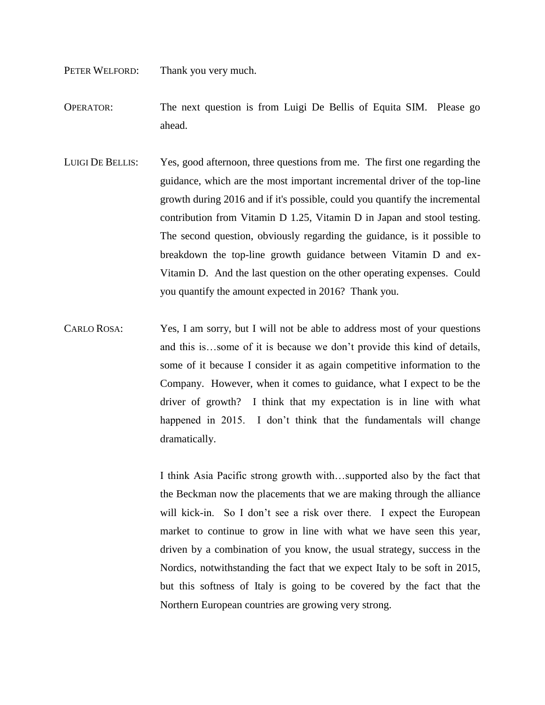PETER WELFORD: Thank you very much.

OPERATOR: The next question is from Luigi De Bellis of Equita SIM. Please go ahead.

- LUIGI DE BELLIS: Yes, good afternoon, three questions from me. The first one regarding the guidance, which are the most important incremental driver of the top-line growth during 2016 and if it's possible, could you quantify the incremental contribution from Vitamin D 1.25, Vitamin D in Japan and stool testing. The second question, obviously regarding the guidance, is it possible to breakdown the top-line growth guidance between Vitamin D and ex-Vitamin D. And the last question on the other operating expenses. Could you quantify the amount expected in 2016? Thank you.
- CARLO ROSA: Yes, I am sorry, but I will not be able to address most of your questions and this is…some of it is because we don't provide this kind of details, some of it because I consider it as again competitive information to the Company. However, when it comes to guidance, what I expect to be the driver of growth? I think that my expectation is in line with what happened in 2015. I don't think that the fundamentals will change dramatically.

I think Asia Pacific strong growth with…supported also by the fact that the Beckman now the placements that we are making through the alliance will kick-in. So I don't see a risk over there. I expect the European market to continue to grow in line with what we have seen this year, driven by a combination of you know, the usual strategy, success in the Nordics, notwithstanding the fact that we expect Italy to be soft in 2015, but this softness of Italy is going to be covered by the fact that the Northern European countries are growing very strong.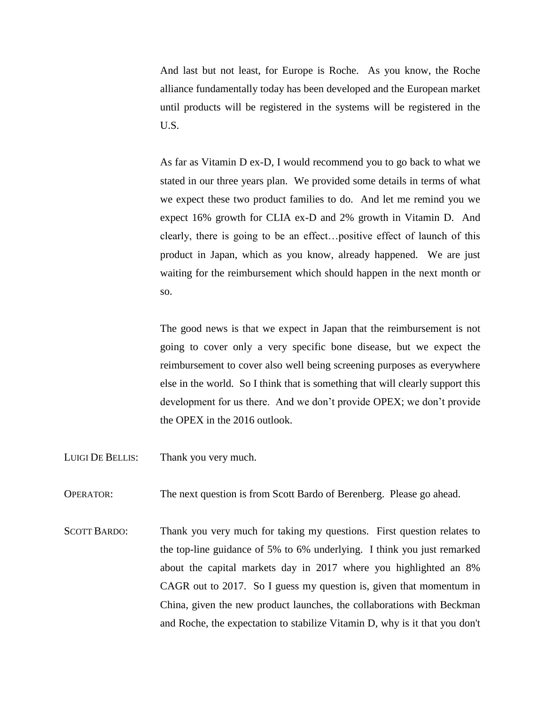And last but not least, for Europe is Roche. As you know, the Roche alliance fundamentally today has been developed and the European market until products will be registered in the systems will be registered in the U.S.

As far as Vitamin D ex-D, I would recommend you to go back to what we stated in our three years plan. We provided some details in terms of what we expect these two product families to do. And let me remind you we expect 16% growth for CLIA ex-D and 2% growth in Vitamin D. And clearly, there is going to be an effect…positive effect of launch of this product in Japan, which as you know, already happened. We are just waiting for the reimbursement which should happen in the next month or so.

The good news is that we expect in Japan that the reimbursement is not going to cover only a very specific bone disease, but we expect the reimbursement to cover also well being screening purposes as everywhere else in the world. So I think that is something that will clearly support this development for us there. And we don't provide OPEX; we don't provide the OPEX in the 2016 outlook.

- LUIGI DE BELLIS: Thank you very much.
- OPERATOR: The next question is from Scott Bardo of Berenberg. Please go ahead.
- SCOTT BARDO: Thank you very much for taking my questions. First question relates to the top-line guidance of 5% to 6% underlying. I think you just remarked about the capital markets day in 2017 where you highlighted an 8% CAGR out to 2017. So I guess my question is, given that momentum in China, given the new product launches, the collaborations with Beckman and Roche, the expectation to stabilize Vitamin D, why is it that you don't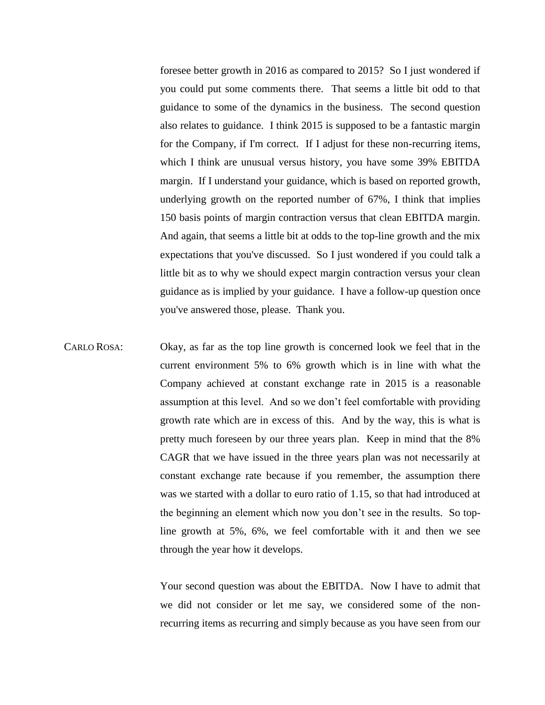foresee better growth in 2016 as compared to 2015? So I just wondered if you could put some comments there. That seems a little bit odd to that guidance to some of the dynamics in the business. The second question also relates to guidance. I think 2015 is supposed to be a fantastic margin for the Company, if I'm correct. If I adjust for these non-recurring items, which I think are unusual versus history, you have some 39% EBITDA margin. If I understand your guidance, which is based on reported growth, underlying growth on the reported number of 67%, I think that implies 150 basis points of margin contraction versus that clean EBITDA margin. And again, that seems a little bit at odds to the top-line growth and the mix expectations that you've discussed. So I just wondered if you could talk a little bit as to why we should expect margin contraction versus your clean guidance as is implied by your guidance. I have a follow-up question once you've answered those, please. Thank you.

CARLO ROSA: Okay, as far as the top line growth is concerned look we feel that in the current environment 5% to 6% growth which is in line with what the Company achieved at constant exchange rate in 2015 is a reasonable assumption at this level. And so we don't feel comfortable with providing growth rate which are in excess of this. And by the way, this is what is pretty much foreseen by our three years plan. Keep in mind that the 8% CAGR that we have issued in the three years plan was not necessarily at constant exchange rate because if you remember, the assumption there was we started with a dollar to euro ratio of 1.15, so that had introduced at the beginning an element which now you don't see in the results. So topline growth at 5%, 6%, we feel comfortable with it and then we see through the year how it develops.

> Your second question was about the EBITDA. Now I have to admit that we did not consider or let me say, we considered some of the nonrecurring items as recurring and simply because as you have seen from our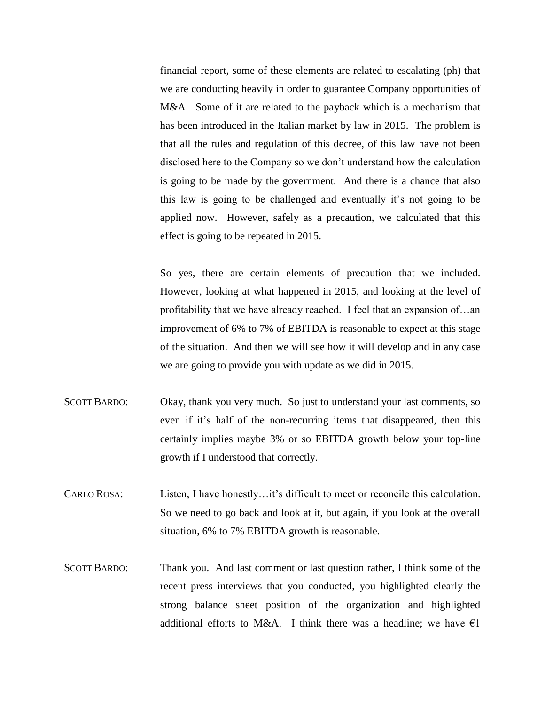financial report, some of these elements are related to escalating (ph) that we are conducting heavily in order to guarantee Company opportunities of M&A. Some of it are related to the payback which is a mechanism that has been introduced in the Italian market by law in 2015. The problem is that all the rules and regulation of this decree, of this law have not been disclosed here to the Company so we don't understand how the calculation is going to be made by the government. And there is a chance that also this law is going to be challenged and eventually it's not going to be applied now. However, safely as a precaution, we calculated that this effect is going to be repeated in 2015.

So yes, there are certain elements of precaution that we included. However, looking at what happened in 2015, and looking at the level of profitability that we have already reached. I feel that an expansion of…an improvement of 6% to 7% of EBITDA is reasonable to expect at this stage of the situation. And then we will see how it will develop and in any case we are going to provide you with update as we did in 2015.

SCOTT BARDO: Okay, thank you very much. So just to understand your last comments, so even if it's half of the non-recurring items that disappeared, then this certainly implies maybe 3% or so EBITDA growth below your top-line growth if I understood that correctly.

CARLO ROSA: Listen, I have honestly…it's difficult to meet or reconcile this calculation. So we need to go back and look at it, but again, if you look at the overall situation, 6% to 7% EBITDA growth is reasonable.

SCOTT BARDO: Thank you. And last comment or last question rather, I think some of the recent press interviews that you conducted, you highlighted clearly the strong balance sheet position of the organization and highlighted additional efforts to M&A. I think there was a headline; we have  $\epsilon$ 1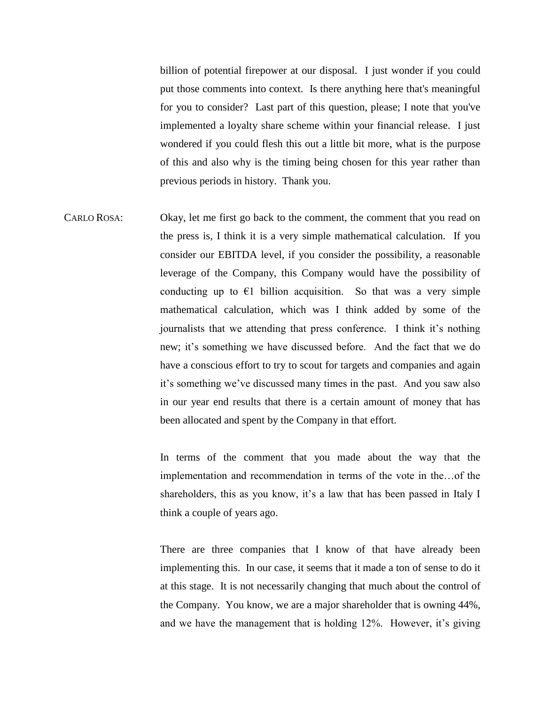billion of potential firepower at our disposal. I just wonder if you could put those comments into context. Is there anything here that's meaningful for you to consider? Last part of this question, please; I note that you've implemented a loyalty share scheme within your financial release. I just wondered if you could flesh this out a little bit more, what is the purpose of this and also why is the timing being chosen for this year rather than previous periods in history. Thank you.

CARLO ROSA: Okay, let me first go back to the comment, the comment that you read on the press is, I think it is a very simple mathematical calculation. If you consider our EBITDA level, if you consider the possibility, a reasonable leverage of the Company, this Company would have the possibility of conducting up to  $E1$  billion acquisition. So that was a very simple mathematical calculation, which was I think added by some of the journalists that we attending that press conference. I think it's nothing new; it's something we have discussed before. And the fact that we do have a conscious effort to try to scout for targets and companies and again it's something we've discussed many times in the past. And you saw also in our year end results that there is a certain amount of money that has been allocated and spent by the Company in that effort.

> In terms of the comment that you made about the way that the implementation and recommendation in terms of the vote in the…of the shareholders, this as you know, it's a law that has been passed in Italy I think a couple of years ago.

> There are three companies that I know of that have already been implementing this. In our case, it seems that it made a ton of sense to do it at this stage. It is not necessarily changing that much about the control of the Company. You know, we are a major shareholder that is owning 44%, and we have the management that is holding 12%. However, it's giving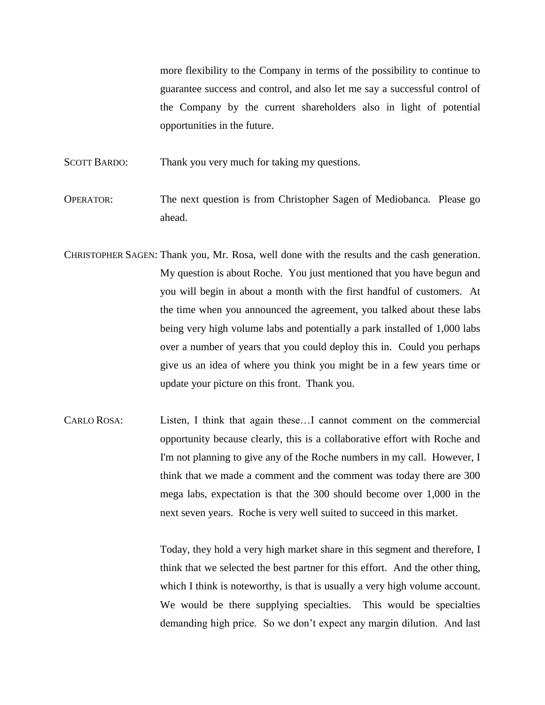more flexibility to the Company in terms of the possibility to continue to guarantee success and control, and also let me say a successful control of the Company by the current shareholders also in light of potential opportunities in the future.

SCOTT BARDO: Thank you very much for taking my questions.

OPERATOR: The next question is from Christopher Sagen of Mediobanca. Please go ahead.

- CHRISTOPHER SAGEN: Thank you, Mr. Rosa, well done with the results and the cash generation. My question is about Roche. You just mentioned that you have begun and you will begin in about a month with the first handful of customers. At the time when you announced the agreement, you talked about these labs being very high volume labs and potentially a park installed of 1,000 labs over a number of years that you could deploy this in. Could you perhaps give us an idea of where you think you might be in a few years time or update your picture on this front. Thank you.
- CARLO ROSA: Listen, I think that again these…I cannot comment on the commercial opportunity because clearly, this is a collaborative effort with Roche and I'm not planning to give any of the Roche numbers in my call. However, I think that we made a comment and the comment was today there are 300 mega labs, expectation is that the 300 should become over 1,000 in the next seven years. Roche is very well suited to succeed in this market.

Today, they hold a very high market share in this segment and therefore, I think that we selected the best partner for this effort. And the other thing, which I think is noteworthy, is that is usually a very high volume account. We would be there supplying specialties. This would be specialties demanding high price. So we don't expect any margin dilution. And last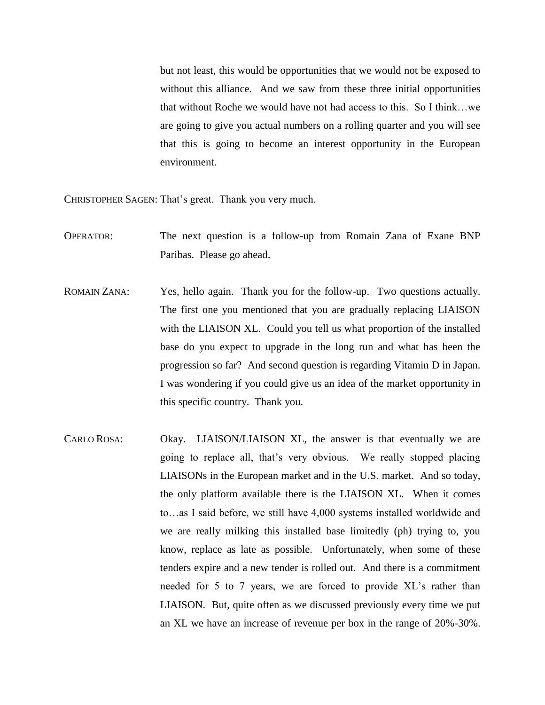but not least, this would be opportunities that we would not be exposed to without this alliance. And we saw from these three initial opportunities that without Roche we would have not had access to this. So I think…we are going to give you actual numbers on a rolling quarter and you will see that this is going to become an interest opportunity in the European environment.

CHRISTOPHER SAGEN: That's great. Thank you very much.

- OPERATOR: The next question is a follow-up from Romain Zana of Exane BNP Paribas. Please go ahead.
- ROMAIN ZANA: Yes, hello again. Thank you for the follow-up. Two questions actually. The first one you mentioned that you are gradually replacing LIAISON with the LIAISON XL. Could you tell us what proportion of the installed base do you expect to upgrade in the long run and what has been the progression so far? And second question is regarding Vitamin D in Japan. I was wondering if you could give us an idea of the market opportunity in this specific country. Thank you.
- CARLO ROSA: Okay. LIAISON/LIAISON XL, the answer is that eventually we are going to replace all, that's very obvious. We really stopped placing LIAISONs in the European market and in the U.S. market. And so today, the only platform available there is the LIAISON XL. When it comes to…as I said before, we still have 4,000 systems installed worldwide and we are really milking this installed base limitedly (ph) trying to, you know, replace as late as possible. Unfortunately, when some of these tenders expire and a new tender is rolled out. And there is a commitment needed for 5 to 7 years, we are forced to provide XL's rather than LIAISON. But, quite often as we discussed previously every time we put an XL we have an increase of revenue per box in the range of 20%-30%.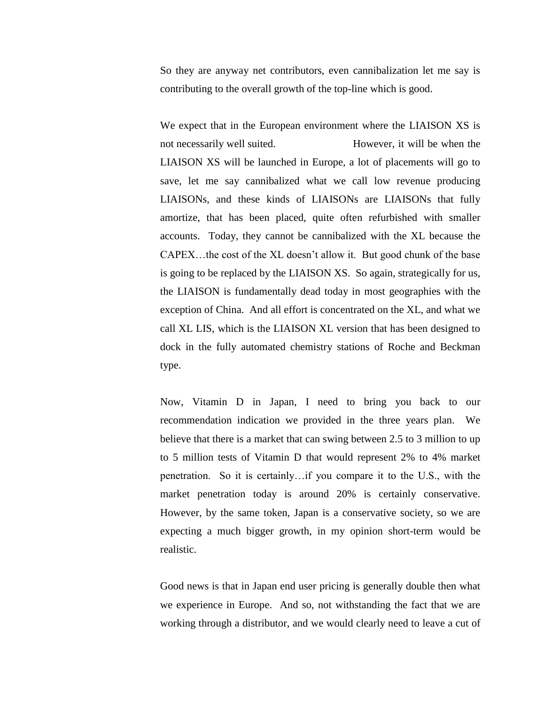So they are anyway net contributors, even cannibalization let me say is contributing to the overall growth of the top-line which is good.

We expect that in the European environment where the LIAISON XS is not necessarily well suited. However, it will be when the LIAISON XS will be launched in Europe, a lot of placements will go to save, let me say cannibalized what we call low revenue producing LIAISONs, and these kinds of LIAISONs are LIAISONs that fully amortize, that has been placed, quite often refurbished with smaller accounts. Today, they cannot be cannibalized with the XL because the CAPEX…the cost of the XL doesn't allow it. But good chunk of the base is going to be replaced by the LIAISON XS. So again, strategically for us, the LIAISON is fundamentally dead today in most geographies with the exception of China. And all effort is concentrated on the XL, and what we call XL LIS, which is the LIAISON XL version that has been designed to dock in the fully automated chemistry stations of Roche and Beckman type.

Now, Vitamin D in Japan, I need to bring you back to our recommendation indication we provided in the three years plan. We believe that there is a market that can swing between 2.5 to 3 million to up to 5 million tests of Vitamin D that would represent 2% to 4% market penetration. So it is certainly…if you compare it to the U.S., with the market penetration today is around 20% is certainly conservative. However, by the same token, Japan is a conservative society, so we are expecting a much bigger growth, in my opinion short-term would be realistic.

Good news is that in Japan end user pricing is generally double then what we experience in Europe. And so, not withstanding the fact that we are working through a distributor, and we would clearly need to leave a cut of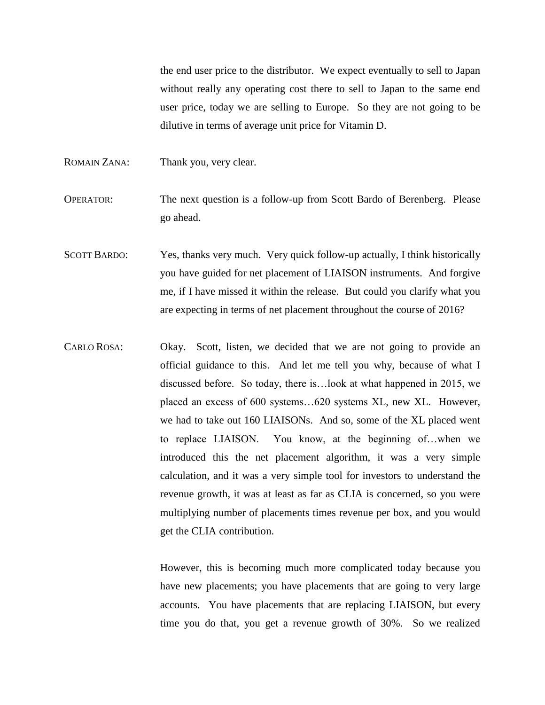the end user price to the distributor. We expect eventually to sell to Japan without really any operating cost there to sell to Japan to the same end user price, today we are selling to Europe. So they are not going to be dilutive in terms of average unit price for Vitamin D.

ROMAIN ZANA: Thank you, very clear.

OPERATOR: The next question is a follow-up from Scott Bardo of Berenberg. Please go ahead.

SCOTT BARDO: Yes, thanks very much. Very quick follow-up actually, I think historically you have guided for net placement of LIAISON instruments. And forgive me, if I have missed it within the release. But could you clarify what you are expecting in terms of net placement throughout the course of 2016?

CARLO ROSA: Okay. Scott, listen, we decided that we are not going to provide an official guidance to this. And let me tell you why, because of what I discussed before. So today, there is…look at what happened in 2015, we placed an excess of 600 systems…620 systems XL, new XL. However, we had to take out 160 LIAISONs. And so, some of the XL placed went to replace LIAISON. You know, at the beginning of…when we introduced this the net placement algorithm, it was a very simple calculation, and it was a very simple tool for investors to understand the revenue growth, it was at least as far as CLIA is concerned, so you were multiplying number of placements times revenue per box, and you would get the CLIA contribution.

> However, this is becoming much more complicated today because you have new placements; you have placements that are going to very large accounts. You have placements that are replacing LIAISON, but every time you do that, you get a revenue growth of 30%. So we realized